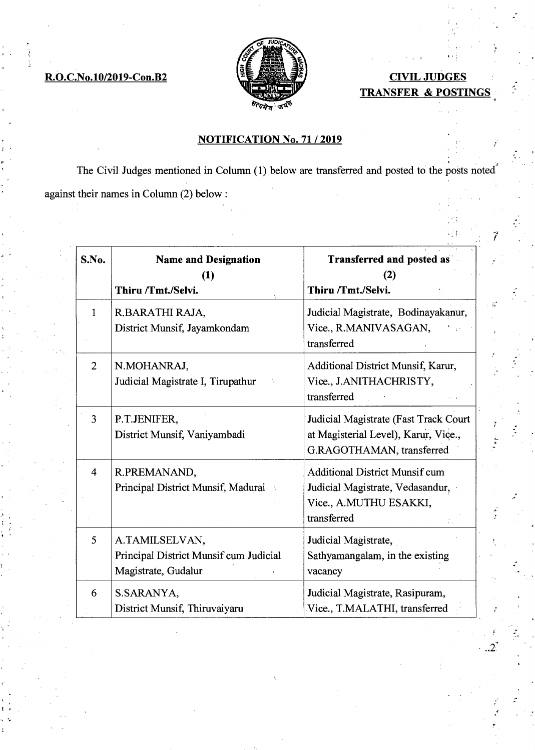

•

## **R.O.C.No.10/2019-Con.B2 CIVIL JUDGES TRANSFER & POSTINGS**

Л¢

V.

 $2^{\cdot}$ 

## **NOTIFICATION No. 71 / 2019**

The Civil Judges mentioned in Column (1) below are transferred and posted to the posts noted<sup>2</sup> against their names in Column (2) below:

| S.No.          | <b>Name and Designation</b><br>(1)                                              | Transferred and posted as<br>(2)                                                                                   |
|----------------|---------------------------------------------------------------------------------|--------------------------------------------------------------------------------------------------------------------|
|                | Thiru /Tmt./Selvi.                                                              | Thiru /Tmt./Selvi.                                                                                                 |
| 1              | R.BARATHI RAJA,<br>District Munsif, Jayamkondam                                 | Judicial Magistrate, Bodinayakanur,<br>Vice., R.MANIVASAGAN,<br>transferred                                        |
| $\overline{2}$ | N.MOHANRAJ,<br>Judicial Magistrate I, Tirupathur                                | Additional District Munsif, Karur,<br>Vice., J.ANITHACHRISTY,<br>transferred                                       |
| 3              | P.T.JENIFER,<br>District Munsif, Vaniyambadi                                    | Judicial Magistrate (Fast Track Court<br>at Magisterial Level), Karur, Vice.,<br>G.RAGOTHAMAN, transferred         |
| 4              | R.PREMANAND,<br>Principal District Munsif, Madurai                              | <b>Additional District Munsif cum</b><br>Judicial Magistrate, Vedasandur,<br>Vice., A.MUTHU ESAKKI,<br>transferred |
| 5              | A.TAMILSELVAN,<br>Principal District Munsif cum Judicial<br>Magistrate, Gudalur | Judicial Magistrate,<br>Sathyamangalam, in the existing<br>vacancy                                                 |
| 6              | S.SARANYA,<br>District Munsif, Thiruvaiyaru                                     | Judicial Magistrate, Rasipuram,<br>Vice., T.MALATHI, transferred                                                   |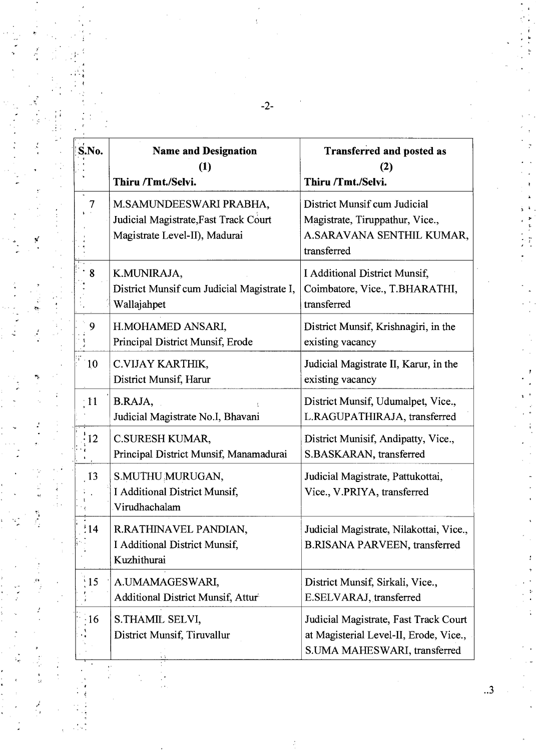| S.No.           | <b>Name and Designation</b><br>$\bf(1)$<br>Thiru /Tmt./Selvi.                                     | <b>Transferred and posted as</b><br>(2)<br>Thiru /Tmt./Selvi.                                                   |
|-----------------|---------------------------------------------------------------------------------------------------|-----------------------------------------------------------------------------------------------------------------|
| 7               | M.SAMUNDEESWARI PRABHA,<br>Judicial Magistrate, Fast Track Court<br>Magistrate Level-II), Madurai | District Munsif cum Judicial<br>Magistrate, Tiruppathur, Vice.,<br>A.SARAVANA SENTHIL KUMAR,<br>transferred     |
| 8               | K.MUNIRAJA,<br>District Munsif cum Judicial Magistrate I,<br>Wallajahpet                          | I Additional District Munsif,<br>Coimbatore, Vice., T.BHARATHI,<br>transferred                                  |
| 9               | H.MOHAMED ANSARI,<br>Principal District Munsif, Erode                                             | District Munsif, Krishnagiri, in the<br>existing vacancy                                                        |
| 10              | C.VIJAY KARTHIK,<br>District Munsif, Harur                                                        | Judicial Magistrate II, Karur, in the<br>existing vacancy                                                       |
| $\cdot$ 11      | B.RAJA,<br>Judicial Magistrate No.I, Bhavani                                                      | District Munsif, Udumalpet, Vice.,<br>L.RAGUPATHIRAJA, transferred                                              |
| $\frac{1}{12}$  | C.SURESH KUMAR,<br>Principal District Munsif, Manamadurai                                         | District Munisif, Andipatty, Vice.,<br>S.BASKARAN, transferred                                                  |
| 13              | S.MUTHU MURUGAN,<br>I Additional District Munsif,<br>Virudhachalam                                | Judicial Magistrate, Pattukottai,<br>Vice., V.PRIYA, transferred                                                |
| $\frac{1}{2}14$ | R.RATHINAVEL PANDIAN,<br>I Additional District Munsif,<br>Kuzhithurai                             | Judicial Magistrate, Nilakottai, Vice.,<br>B.RISANA PARVEEN, transferred                                        |
| $\frac{15}{15}$ | A.UMAMAGESWARI,<br>Additional District Munsif, Attur                                              | District Munsif, Sirkali, Vice.,<br>E.SELVARAJ, transferred                                                     |
| 16              | S.THAMIL SELVI,<br>District Munsif, Tiruvallur                                                    | Judicial Magistrate, Fast Track Court<br>at Magisterial Level-II, Erode, Vice.,<br>S.UMA MAHESWARI, transferred |
|                 |                                                                                                   |                                                                                                                 |

-2-

 $\frac{r}{r}$ 

 $\begin{bmatrix} \mathbf{y}^T & \mathbf{y}^T & \mathbf{y}^T & \mathbf{y}^T & \mathbf{y}^T & \mathbf{y}^T & \mathbf{y}^T & \mathbf{y}^T & \mathbf{y}^T & \mathbf{y}^T & \mathbf{y}^T & \mathbf{y}^T & \mathbf{y}^T & \mathbf{y}^T & \mathbf{y}^T & \mathbf{y}^T & \mathbf{y}^T & \mathbf{y}^T & \mathbf{y}^T & \mathbf{y}^T & \mathbf{y}^T & \mathbf{y}^T & \mathbf{y}^T & \mathbf{y}^$ 

 $\frac{1}{2}$ 

医无尿糖

 $\frac{1}{2}$ 

 $\mathcal{L}$ 

医小型气管 医鼓

الم<br>ويا

Ĭ.

ì,

 $\epsilon_{\rm g}/k$ 

 $\begin{bmatrix} 1 \\ 2 \\ 3 \\ 4 \end{bmatrix}$ 

 $\frac{1}{2}$ 

 $\begin{array}{c}\n\cdot \\
\cdot \\
\cdot \\
\cdot \\
\cdot\n\end{array}$ 

 $\frac{1}{2}$ 

.<br>۔

 $\ddot{\cdot}$ 

 $\ddot{\cdot}$  $\ddot{\phantom{a}}$ 

ć,

**r** 

 $\ddot{\phantom{0}}$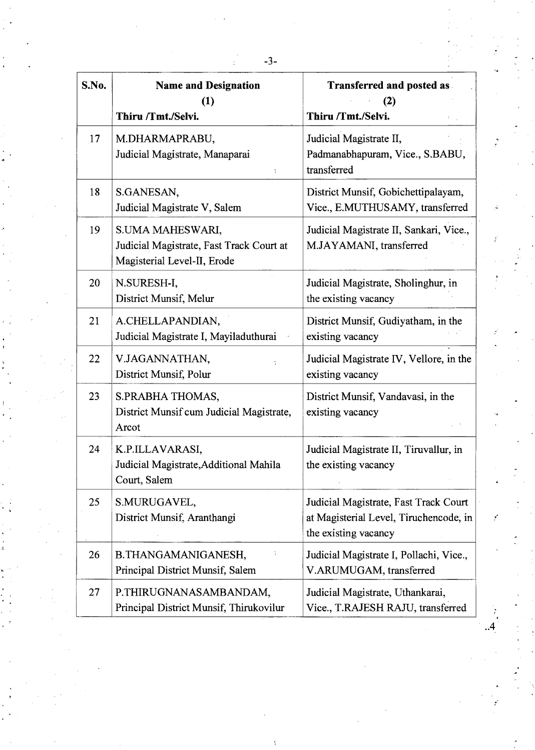| S.No. | <b>Name and Designation</b>                                                                 | <b>Transferred and posted as</b>                                                                        |
|-------|---------------------------------------------------------------------------------------------|---------------------------------------------------------------------------------------------------------|
|       | (1)<br>Thiru /Tmt./Selvi.                                                                   | (2)<br>Thiru /Tmt./Selvi.                                                                               |
| 17    | M.DHARMAPRABU,<br>Judicial Magistrate, Manaparai                                            | Judicial Magistrate II,<br>Padmanabhapuram, Vice., S.BABU,<br>transferred                               |
| 18    | S.GANESAN,<br>Judicial Magistrate V, Salem                                                  | District Munsif, Gobichettipalayam,<br>Vice., E.MUTHUSAMY, transferred                                  |
| 19    | S.UMA MAHESWARI,<br>Judicial Magistrate, Fast Track Court at<br>Magisterial Level-II, Erode | Judicial Magistrate II, Sankari, Vice.,<br>M.JAYAMANI, transferred                                      |
| 20    | N.SURESH-I,<br>District Munsif, Melur                                                       | Judicial Magistrate, Sholinghur, in<br>the existing vacancy                                             |
| 21    | A.CHELLAPANDIAN,<br>Judicial Magistrate I, Mayiladuthurai                                   | District Munsif, Gudiyatham, in the<br>existing vacancy                                                 |
| 22    | V.JAGANNATHAN,<br>District Munsif, Polur                                                    | Judicial Magistrate IV, Vellore, in the<br>existing vacancy                                             |
| 23    | S.PRABHA THOMAS,<br>District Munsif cum Judicial Magistrate,<br>Arcot                       | District Munsif, Vandavasi, in the<br>existing vacancy                                                  |
| 24    | K.P.ILLAVARASI,<br>Judicial Magistrate, Additional Mahila<br>Court, Salem                   | Judicial Magistrate II, Tiruvallur, in<br>the existing vacancy                                          |
| 25    | S.MURUGAVEL,<br>District Munsif, Aranthangi                                                 | Judicial Magistrate, Fast Track Court<br>at Magisterial Level, Tiruchencode, in<br>the existing vacancy |
| 26    | B.THANGAMANIGANESH,<br>Principal District Munsif, Salem                                     | Judicial Magistrate I, Pollachi, Vice.,<br>V.ARUMUGAM, transferred                                      |
| 27    | P.THIRUGNANASAMBANDAM,<br>Principal District Munsif, Thirukovilur                           | Judicial Magistrate, Uthankarai,<br>Vice., T.RAJESH RAJU, transferred                                   |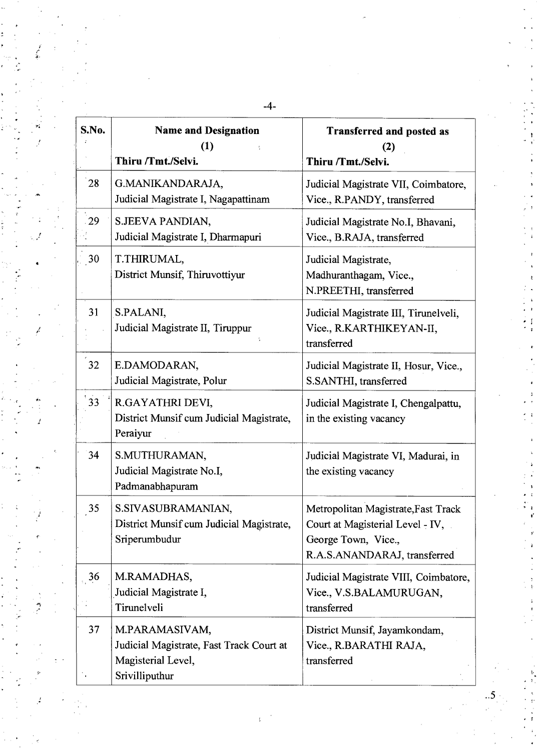| S.No. | <b>Name and Designation</b><br>(1)<br>Thiru /Tmt./Selvi.                                           | <b>Transferred and posted as</b><br>(2)<br>Thiru /Tmt./Selvi.                                                                  |
|-------|----------------------------------------------------------------------------------------------------|--------------------------------------------------------------------------------------------------------------------------------|
| 28    | G.MANIKANDARAJA,<br>Judicial Magistrate I, Nagapattinam                                            | Judicial Magistrate VII, Coimbatore,<br>Vice., R.PANDY, transferred                                                            |
| 29    | S.JEEVA PANDIAN,<br>Judicial Magistrate I, Dharmapuri                                              | Judicial Magistrate No.I, Bhavani,<br>Vice., B.RAJA, transferred                                                               |
| 30    | T.THIRUMAL,<br>District Munsif, Thiruvottiyur                                                      | Judicial Magistrate,<br>Madhuranthagam, Vice.,<br>N.PREETHI, transferred                                                       |
| 31    | S.PALANI,<br>Judicial Magistrate II, Tiruppur                                                      | Judicial Magistrate III, Tirunelveli,<br>Vice., R.KARTHIKEYAN-II,<br>transferred                                               |
| 32    | E.DAMODARAN,<br>Judicial Magistrate, Polur                                                         | Judicial Magistrate II, Hosur, Vice.,<br>S.SANTHI, transferred                                                                 |
| 33    | R.GAYATHRI DEVI,<br>District Munsif cum Judicial Magistrate,<br>Peraiyur                           | Judicial Magistrate I, Chengalpattu,<br>in the existing vacancy                                                                |
| 34    | S.MUTHURAMAN,<br>Judicial Magistrate No.I,<br>Padmanabhapuram                                      | Judicial Magistrate VI, Madurai, in<br>the existing vacancy                                                                    |
| 35    | S.SIVASUBRAMANIAN,<br>District Munsif cum Judicial Magistrate,<br>Sriperumbudur                    | Metropolitan Magistrate, Fast Track<br>Court at Magisterial Level - IV,<br>George Town, Vice.,<br>R.A.S.ANANDARAJ, transferred |
| 36    | M.RAMADHAS,<br>Judicial Magistrate I,<br>Tirunelveli                                               | Judicial Magistrate VIII, Coimbatore,<br>Vice., V.S.BALAMURUGAN,<br>transferred                                                |
| 37    | M.PARAMASIVAM,<br>Judicial Magistrate, Fast Track Court at<br>Magisterial Level,<br>Srivilliputhur | District Munsif, Jayamkondam,<br>Vice., R.BARATHI RAJA,<br>transferred                                                         |

 $\bar{\psi}$ 

 $\mathbf{I}$ 

 $\overline{\mathbf{5}}$ 

-4-

 $\mathbf{r}$ 

 $\begin{array}{c} \bullet \bullet \\ \bullet \\ \bullet \\ \bullet \end{array}$ 

 $\ddot{ }$ 

 $\frac{1}{2}$ 

ł

÷,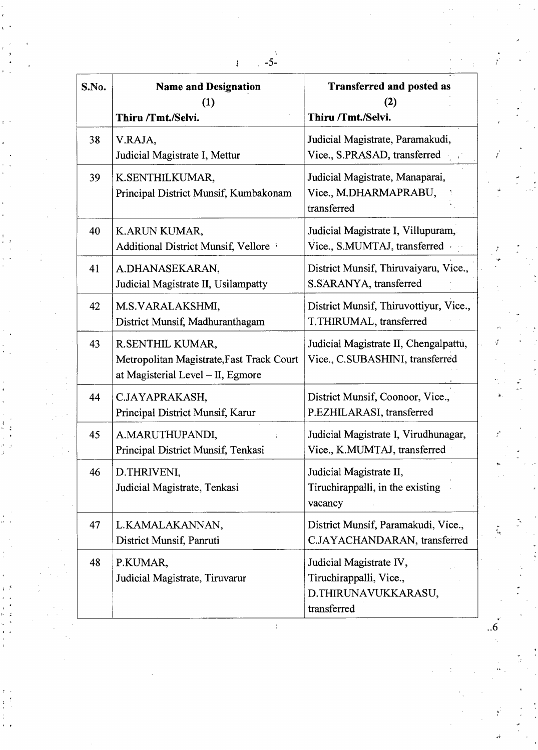| S.No. | <b>Name and Designation</b><br>(1)<br>Thiru /Tmt./Selvi.                                           | <b>Transferred and posted as</b><br>(2)<br>Thiru /Tmt./Selvi.                            |
|-------|----------------------------------------------------------------------------------------------------|------------------------------------------------------------------------------------------|
| 38    | V.RAJA,<br>Judicial Magistrate I, Mettur                                                           | Judicial Magistrate, Paramakudi,<br>Vice., S.PRASAD, transferred                         |
| 39    | K.SENTHILKUMAR,<br>Principal District Munsif, Kumbakonam                                           | Judicial Magistrate, Manaparai,<br>Vice., M.DHARMAPRABU,<br>transferred                  |
| 40    | K.ARUN KUMAR,<br>Additional District Munsif, Vellore                                               | Judicial Magistrate I, Villupuram,<br>Vice., S.MUMTAJ, transferred                       |
| 41    | A.DHANASEKARAN,<br>Judicial Magistrate II, Usilampatty                                             | District Munsif, Thiruvaiyaru, Vice.,<br>S.SARANYA, transferred                          |
| 42    | M.S.VARALAKSHMI,<br>District Munsif, Madhuranthagam                                                | District Munsif, Thiruvottiyur, Vice.,<br>T.THIRUMAL, transferred                        |
| 43    | R.SENTHIL KUMAR,<br>Metropolitan Magistrate, Fast Track Court<br>at Magisterial Level - II, Egmore | Judicial Magistrate II, Chengalpattu,<br>Vice., C.SUBASHINI, transferred                 |
| 44    | C.JAYAPRAKASH,<br>Principal District Munsif, Karur                                                 | District Munsif, Coonoor, Vice.,<br>P.EZHILARASI, transferred                            |
| 45    | A.MARUTHUPANDI,<br>Principal District Munsif, Tenkasi                                              | Judicial Magistrate I, Virudhunagar,<br>Vice., K.MUMTAJ, transferred                     |
| 46    | D.THRIVENI,<br>Judicial Magistrate, Tenkasi                                                        | Judicial Magistrate II,<br>Tiruchirappalli, in the existing<br>vacancy                   |
| 47    | L.KAMALAKANNAN,<br>District Munsif, Panruti                                                        | District Munsif, Paramakudi, Vice.,<br>C.JAYACHANDARAN, transferred                      |
| 48    | P.KUMAR,<br>Judicial Magistrate, Tiruvarur                                                         | Judicial Magistrate IV,<br>Tiruchirappalli, Vice.,<br>D.THIRUNAVUKKARASU,<br>transferred |

..6

 $\mathcal{I}^{\mathcal{I}}$ 

 $\vec{r}$ 

 $\frac{4}{3}$ 

 $\frac{1}{4}$   $\frac{3}{4}$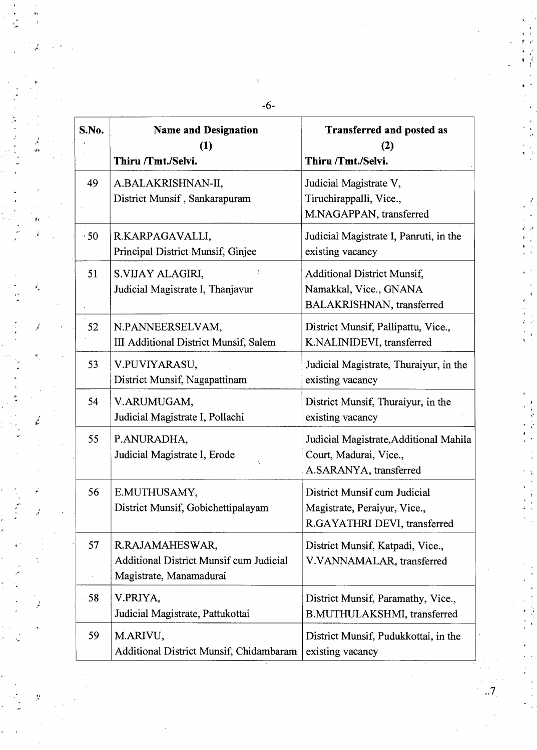| S.No. | <b>Name and Designation</b><br>(1)<br>Thiru /Tmt./Selvi.                                     | <b>Transferred and posted as</b><br>(2)<br>Thiru /Tmt./Selvi.                                |
|-------|----------------------------------------------------------------------------------------------|----------------------------------------------------------------------------------------------|
| 49    | A.BALAKRISHNAN-II,<br>District Munsif, Sankarapuram                                          | Judicial Magistrate V,<br>Tiruchirappalli, Vice.,<br>M.NAGAPPAN, transferred                 |
| .50   | R.KARPAGAVALLI,<br>Principal District Munsif, Ginjee                                         | Judicial Magistrate I, Panruti, in the<br>existing vacancy                                   |
| 51    | S.VIJAY ALAGIRI,<br>Judicial Magistrate I, Thanjavur                                         | <b>Additional District Munsif,</b><br>Namakkal, Vice., GNANA<br>BALAKRISHNAN, transferred    |
| 52    | N.PANNEERSELVAM,<br>III Additional District Munsif, Salem                                    | District Munsif, Pallipattu, Vice.,<br>K.NALINIDEVI, transferred                             |
| 53    | V.PUVIYARASU,<br>District Munsif, Nagapattinam                                               | Judicial Magistrate, Thuraiyur, in the<br>existing vacancy                                   |
| 54    | V.ARUMUGAM,<br>Judicial Magistrate I, Pollachi                                               | District Munsif, Thuraiyur, in the<br>existing vacancy                                       |
| 55    | P.ANURADHA,<br>Judicial Magistrate I, Erode                                                  | Judicial Magistrate, Additional Mahila<br>Court, Madurai, Vice.,<br>A.SARANYA, transferred   |
| 56    | E.MUTHUSAMY,<br>District Munsif, Gobichettipalayam                                           | District Munsif cum Judicial<br>Magistrate, Peraiyur, Vice.,<br>R.GAYATHRI DEVI, transferred |
| 57    | R.RAJAMAHESWAR,<br><b>Additional District Munsif cum Judicial</b><br>Magistrate, Manamadurai | District Munsif, Katpadi, Vice.,<br>V.VANNAMALAR, transferred                                |
| 58    | V.PRIYA,<br>Judicial Magistrate, Pattukottai                                                 | District Munsif, Paramathy, Vice.,<br>B.MUTHULAKSHMI, transferred                            |
| 59    | M.ARIVU,<br>Additional District Munsif, Chidambaram                                          | District Munsif, Pudukkottai, in the<br>existing vacancy                                     |

 $-6-$ 

ę.

 $\mathcal{I}_{\mathcal{A}}$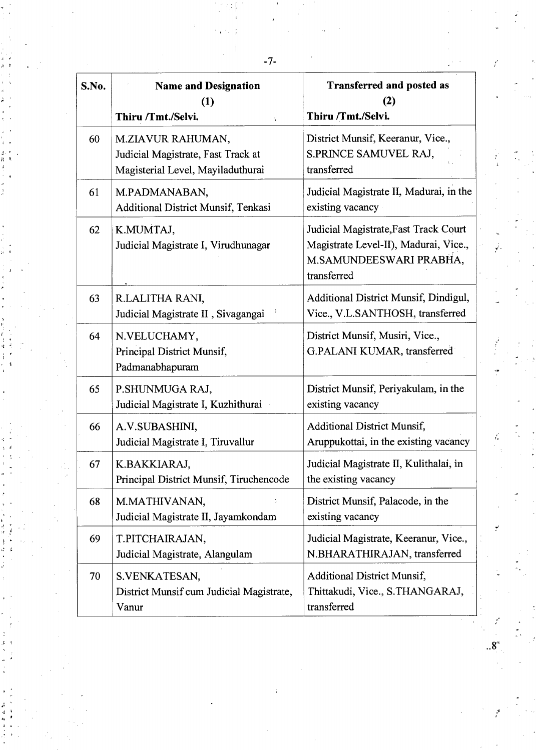| S.No. | <b>Name and Designation</b><br>(1)<br>Thiru /Tmt./Selvi.                                     | <b>Transferred and posted as</b><br>(2)<br>Thiru /Tmt./Selvi.                                                            |
|-------|----------------------------------------------------------------------------------------------|--------------------------------------------------------------------------------------------------------------------------|
| 60    | M.ZIAVUR RAHUMAN,<br>Judicial Magistrate, Fast Track at<br>Magisterial Level, Mayiladuthurai | District Munsif, Keeranur, Vice.,<br>S.PRINCE SAMUVEL RAJ,<br>transferred                                                |
| 61    | M.PADMANABAN,<br><b>Additional District Munsif, Tenkasi</b>                                  | Judicial Magistrate II, Madurai, in the<br>existing vacancy                                                              |
| 62    | K.MUMTAJ,<br>Judicial Magistrate I, Virudhunagar                                             | Judicial Magistrate, Fast Track Court<br>Magistrate Level-II), Madurai, Vice.,<br>M.SAMUNDEESWARI PRABHA,<br>transferred |
| 63    | R.LALITHA RANI,<br>Judicial Magistrate II, Sivagangai                                        | Additional District Munsif, Dindigul,<br>Vice., V.L.SANTHOSH, transferred                                                |
| 64    | N.VELUCHAMY,<br>Principal District Munsif,<br>Padmanabhapuram                                | District Munsif, Musiri, Vice.,<br>G.PALANI KUMAR, transferred                                                           |
| 65    | P.SHUNMUGA RAJ,<br>Judicial Magistrate I, Kuzhithurai                                        | District Munsif, Periyakulam, in the<br>existing vacancy                                                                 |
| 66    | A.V.SUBASHINI,<br>Judicial Magistrate I, Tiruvallur                                          | <b>Additional District Munsif,</b><br>Aruppukottai, in the existing vacancy                                              |
| 67    | K.BAKKIARAJ,<br>Principal District Munsif, Tiruchencode                                      | Judicial Magistrate II, Kulithalai, in<br>the existing vacancy                                                           |
| 68    | M.MATHIVANAN,<br>÷<br>Judicial Magistrate II, Jayamkondam                                    | District Munsif, Palacode, in the<br>existing vacancy                                                                    |
| 69    | T.PITCHAIRAJAN,<br>Judicial Magistrate, Alangulam                                            | Judicial Magistrate, Keeranur, Vice.,<br>N.BHARATHIRAJAN, transferred                                                    |
| 70    | S.VENKATESAN,<br>District Munsif cum Judicial Magistrate,<br>Vanur                           | <b>Additional District Munsif,</b><br>Thittakudi, Vice., S.THANGARAJ,<br>transferred                                     |

 $\frac{e^{\prime}}{4\pi}$ 

-7-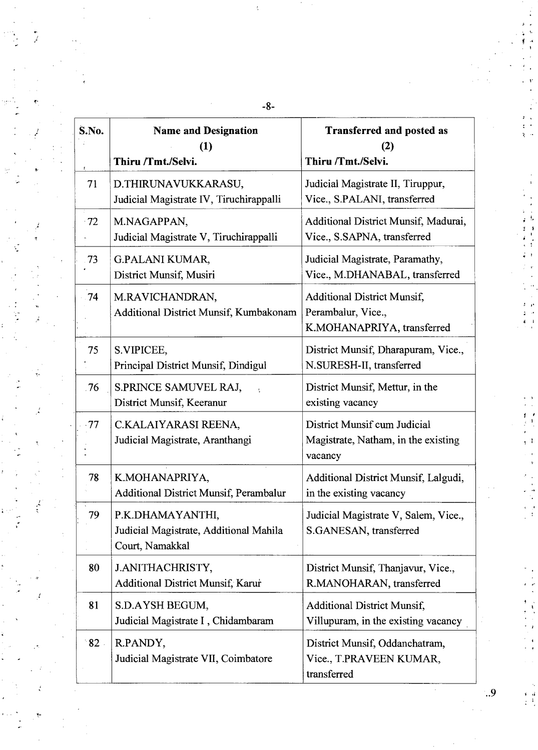| S.No.          | <b>Name and Designation</b><br>(1)<br>Thiru /Tmt./Selvi.                      | <b>Transferred and posted as</b><br>(2)<br>Thiru /Tmt./Selvi.                          |
|----------------|-------------------------------------------------------------------------------|----------------------------------------------------------------------------------------|
| 71             | D.THIRUNAVUKKARASU,<br>Judicial Magistrate IV, Tiruchirappalli                | Judicial Magistrate II, Tiruppur,<br>Vice., S.PALANI, transferred                      |
| $-72$          | M.NAGAPPAN,<br>Judicial Magistrate V, Tiruchirappalli                         | Additional District Munsif, Madurai,<br>Vice., S.SAPNA, transferred                    |
| $-73$          | <b>G.PALANI KUMAR,</b><br>District Munsif, Musiri                             | Judicial Magistrate, Paramathy,<br>Vice., M.DHANABAL, transferred                      |
| $-74$          | M.RAVICHANDRAN,<br>Additional District Munsif, Kumbakonam                     | <b>Additional District Munsif,</b><br>Perambalur, Vice.,<br>K.MOHANAPRIYA, transferred |
| 75             | S.VIPICEE,<br>Principal District Munsif, Dindigul                             | District Munsif, Dharapuram, Vice.,<br>N.SURESH-II, transferred                        |
| .76            | S.PRINCE SAMUVEL RAJ,<br>District Munsif, Keeranur                            | District Munsif, Mettur, in the<br>existing vacancy                                    |
| $\cdot 77$     | C.KALAIYARASI REENA,<br>Judicial Magistrate, Aranthangi                       | District Munsif cum Judicial<br>Magistrate, Natham, in the existing<br>vacancy         |
| 78             | K.MOHANAPRIYA,<br><b>Additional District Munsif, Perambalur</b>               | Additional District Munsif, Lalgudi,<br>in the existing vacancy                        |
| 79             | P.K.DHAMAYANTHI,<br>Judicial Magistrate, Additional Mahila<br>Court, Namakkal | Judicial Magistrate V, Salem, Vice.,<br>S.GANESAN, transferred                         |
| 80             | J.ANITHACHRISTY,<br>Additional District Munsif, Karur                         | District Munsif, Thanjavur, Vice.,<br>R.MANOHARAN, transferred                         |
| 81             | S.D.AYSH BEGUM,<br>Judicial Magistrate I, Chidambaram                         | <b>Additional District Munsif,</b><br>Villupuram, in the existing vacancy              |
| $^{\circ}82$ . | R.PANDY,<br>Judicial Magistrate VII, Coimbatore                               | District Munsif, Oddanchatram,<br>Vice., T.PRAVEEN KUMAR,<br>transferred               |

 $\frac{2}{3}$ 

**-8-** 

í

 $\ddot{.}9$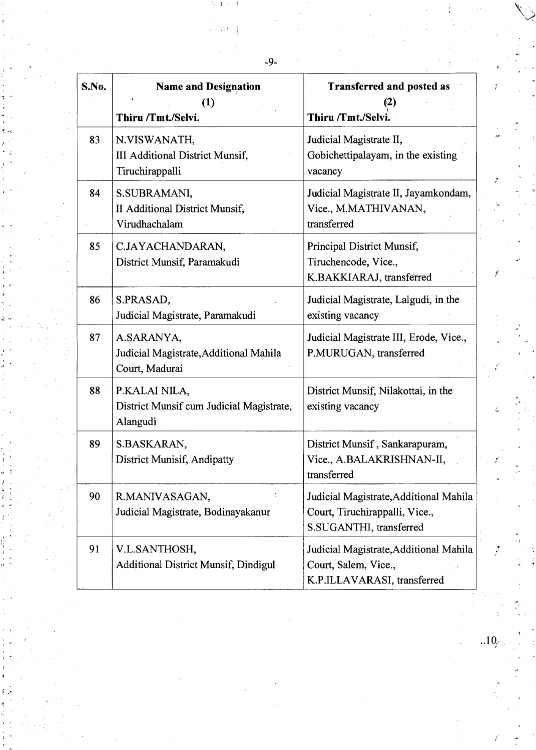| S.No. | <b>Name and Designation</b><br>(1)<br>Thiru /Tmt./Selvi.               | <b>Transferred and posted as</b><br>12)<br>Thiru /Tmt./Selvi.                                       |
|-------|------------------------------------------------------------------------|-----------------------------------------------------------------------------------------------------|
| 83    | N.VISWANATH,<br>III Additional District Munsif,<br>Tiruchirappalli     | Judicial Magistrate II,<br>Gobichettipalayam, in the existing<br>vacancy                            |
| 84    | S.SUBRAMANI,<br>II Additional District Munsif,<br>Virudhachalam        | Judicial Magistrate II, Jayamkondam,<br>Vice., M.MATHIVANAN,<br>transferred                         |
| 85    | C.JAYACHANDARAN,<br>District Munsif, Paramakudi                        | Principal District Munsif,<br>Tiruchencode, Vice.,<br>K.BAKKIARAJ, transferred                      |
| 86    | S.PRASAD,<br>Judicial Magistrate, Paramakudi                           | Judicial Magistrate, Lalgudi, in the<br>existing vacancy                                            |
| 87    | A.SARANYA,<br>Judicial Magistrate, Additional Mahila<br>Court, Madurai | Judicial Magistrate III, Erode, Vice.,<br>P.MURUGAN, transferred                                    |
| 88    | P.KALAI NILA,<br>District Munsif cum Judicial Magistrate,<br>Alangudi  | District Munsif, Nilakottai, in the<br>existing vacancy                                             |
| 89    | S.BASKARAN,<br><b>District Munisif, Andipatty</b>                      | District Munsif, Sankarapuram,<br>Vice., A.BALAKRISHNAN-II,<br>transferred                          |
| 90    | R.MANIVASAGAN,<br>Judicial Magistrate, Bodinayakanur                   | Judicial Magistrate, Additional Mahila<br>Court, Tiruchirappalli, Vice.,<br>S.SUGANTHI, transferred |
| 91    | V.L.SANTHOSH,<br><b>Additional District Munsif, Dindigul</b>           | Judicial Magistrate, Additional Mahila<br>Court, Salem, Vice.,<br>K.P.ILLAVARASI, transferred       |

-9-

 $\ddot{.}$ 

 $.10.$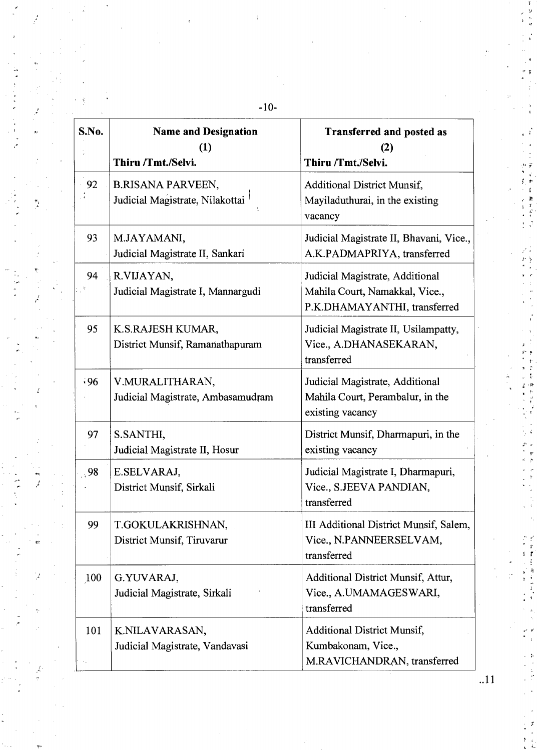| S.No.   | <b>Name and Designation</b><br>(1)<br>Thiru /Tmt./Selvi.    | <b>Transferred and posted as</b><br>(2)<br>Thiru /Tmt./Selvi.                                     |
|---------|-------------------------------------------------------------|---------------------------------------------------------------------------------------------------|
| 92      | <b>B.RISANA PARVEEN,</b><br>Judicial Magistrate, Nilakottai | <b>Additional District Munsif,</b><br>Mayiladuthurai, in the existing<br>vacancy                  |
| 93      | M.JAYAMANI,<br>Judicial Magistrate II, Sankari              | Judicial Magistrate II, Bhavani, Vice.,<br>A.K.PADMAPRIYA, transferred                            |
| 94      | R.VIJAYAN,<br>Judicial Magistrate I, Mannargudi             | Judicial Magistrate, Additional<br>Mahila Court, Namakkal, Vice.,<br>P.K.DHAMAYANTHI, transferred |
| 95      | K.S.RAJESH KUMAR,<br>District Munsif, Ramanathapuram        | Judicial Magistrate II, Usilampatty,<br>Vice., A.DHANASEKARAN,<br>transferred                     |
| .96     | V.MURALITHARAN,<br>Judicial Magistrate, Ambasamudram        | Judicial Magistrate, Additional<br>Mahila Court, Perambalur, in the<br>existing vacancy           |
| 97      | S.SANTHI,<br>Judicial Magistrate II, Hosur                  | District Munsif, Dharmapuri, in the<br>existing vacancy                                           |
| $\, 98$ | E.SELVARAJ,<br>District Munsif, Sirkali                     | Judicial Magistrate I, Dharmapuri,<br>Vice., S.JEEVA PANDIAN,<br>transferred                      |
| 99      | T.GOKULAKRISHNAN,<br>District Munsif, Tiruvarur             | III Additional District Munsif, Salem,<br>Vice., N.PANNEERSELVAM,<br>transferred                  |
| 100     | G.YUVARAJ,<br>Judicial Magistrate, Sirkali                  | Additional District Munsif, Attur,<br>Vice., A.UMAMAGESWARI,<br>transferred                       |
| 101     | K.NILAVARASAN,<br>Judicial Magistrate, Vandavasi            | <b>Additional District Munsif,</b><br>Kumbakonam, Vice.,<br>M.RAVICHANDRAN, transferred           |

-10-

٦

 $\overline{t}$ 

 $.11$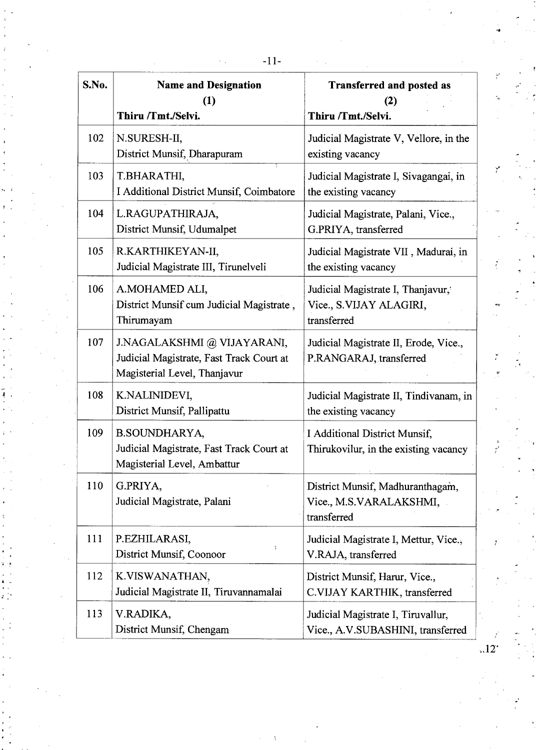| S.No. | <b>Name and Designation</b><br>(1)<br>Thiru /Tmt./Selvi.                                                | <b>Transferred and posted as</b><br>(2)<br>Thiru /Tmt./Selvi.               |
|-------|---------------------------------------------------------------------------------------------------------|-----------------------------------------------------------------------------|
| 102   | N.SURESH-II,<br>District Munsif, Dharapuram                                                             | Judicial Magistrate V, Vellore, in the<br>existing vacancy                  |
| 103   | T.BHARATHI,<br>I Additional District Munsif, Coimbatore                                                 | Judicial Magistrate I, Sivagangai, in<br>the existing vacancy               |
| 104   | L.RAGUPATHIRAJA,<br>District Munsif, Udumalpet                                                          | Judicial Magistrate, Palani, Vice.,<br>G.PRIYA, transferred                 |
| 105   | R.KARTHIKEYAN-II,<br>Judicial Magistrate III, Tirunelveli                                               | Judicial Magistrate VII, Madurai, in<br>the existing vacancy                |
| 106   | A.MOHAMED ALI,<br>District Munsif cum Judicial Magistrate,<br>Thirumayam                                | Judicial Magistrate I, Thanjavur,<br>Vice., S.VIJAY ALAGIRI,<br>transferred |
| 107   | J.NAGALAKSHMI @ VIJAYARANI,<br>Judicial Magistrate, Fast Track Court at<br>Magisterial Level, Thanjavur | Judicial Magistrate II, Erode, Vice.,<br>P.RANGARAJ, transferred            |
| 108   | K.NALINIDEVI,<br>District Munsif, Pallipattu                                                            | Judicial Magistrate II, Tindivanam, in<br>the existing vacancy              |
| 109   | <b>B.SOUNDHARYA,</b><br>Judicial Magistrate, Fast Track Court at<br>Magisterial Level, Ambattur         | I Additional District Munsif,<br>Thirukovilur, in the existing vacancy      |
| 110   | G.PRIYA,<br>Judicial Magistrate, Palani                                                                 | District Munsif, Madhuranthagam,<br>Vice., M.S.VARALAKSHMI,<br>transferred  |
| 111   | P.EZHILARASI,<br>District Munsif, Coonoor                                                               | Judicial Magistrate I, Mettur, Vice.,<br>V.RAJA, transferred                |
| 112   | K.VISWANATHAN,<br>Judicial Magistrate II, Tiruvannamalai                                                | District Munsif, Harur, Vice.,<br>C.VIJAY KARTHIK, transferred              |
| 113   | V.RADIKA,<br>District Munsif, Chengam                                                                   | Judicial Magistrate I, Tiruvallur,<br>Vice., A.V.SUBASHINI, transferred     |

 $.12^{4}$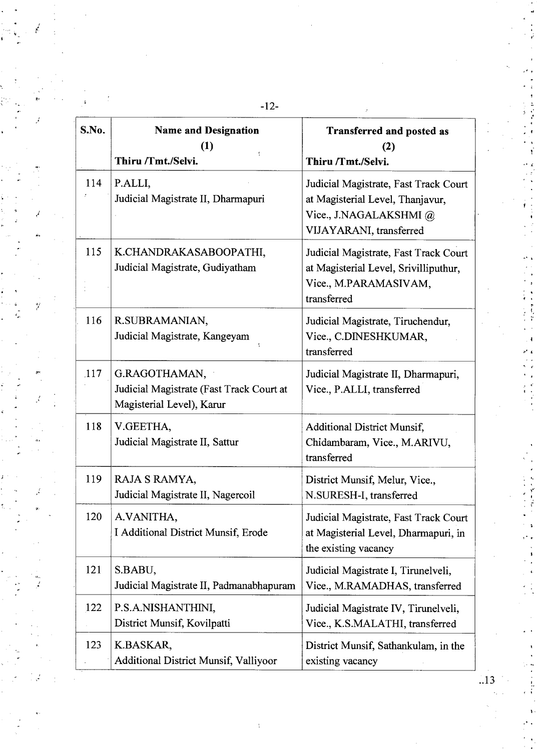| S.No.      | <b>Name and Designation</b><br>(1)<br>t<br>Thiru /Tmt./Selvi.                          | Transferred and posted as<br>(2)<br>Thiru /Tmt./Selvi.                                                                         |
|------------|----------------------------------------------------------------------------------------|--------------------------------------------------------------------------------------------------------------------------------|
| 114        | P.ALLI,<br>Judicial Magistrate II, Dharmapuri                                          | Judicial Magistrate, Fast Track Court<br>at Magisterial Level, Thanjavur,<br>Vice., J.NAGALAKSHMI @<br>VIJAYARANI, transferred |
| 115        | K.CHANDRAKASABOOPATHI,<br>Judicial Magistrate, Gudiyatham                              | Judicial Magistrate, Fast Track Court<br>at Magisterial Level, Srivilliputhur,<br>Vice., M.PARAMASIVAM,<br>transferred         |
| 116        | R.SUBRAMANIAN,<br>Judicial Magistrate, Kangeyam                                        | Judicial Magistrate, Tiruchendur,<br>Vice., C.DINESHKUMAR,<br>transferred                                                      |
| <b>117</b> | G.RAGOTHAMAN,<br>Judicial Magistrate (Fast Track Court at<br>Magisterial Level), Karur | Judicial Magistrate II, Dharmapuri,<br>Vice., P.ALLI, transferred                                                              |
| 118        | V.GEETHA,<br>Judicial Magistrate II, Sattur                                            | <b>Additional District Munsif,</b><br>Chidambaram, Vice., M.ARIVU,<br>transferred                                              |
| 119        | RAJA S RAMYA,<br>Judicial Magistrate II, Nagercoil                                     | District Munsif, Melur, Vice.,<br>N.SURESH-I, transferred                                                                      |
| 120        | A.VANITHA,<br>I Additional District Munsif, Erode                                      | Judicial Magistrate, Fast Track Court<br>at Magisterial Level, Dharmapuri, in<br>the existing vacancy                          |
| 121        | S.BABU,<br>Judicial Magistrate II, Padmanabhapuram                                     | Judicial Magistrate I, Tirunelveli,<br>Vice., M.RAMADHAS, transferred                                                          |
| 122        | P.S.A.NISHANTHINI,<br>District Munsif, Kovilpatti                                      | Judicial Magistrate IV, Tirunelveli,<br>Vice., K.S.MALATHI, transferred                                                        |
| 123        | K.BASKAR,<br><b>Additional District Munsif, Valliyoor</b>                              | District Munsif, Sathankulam, in the<br>existing vacancy                                                                       |

 $\hat{y}$ 

**-12-** 

..13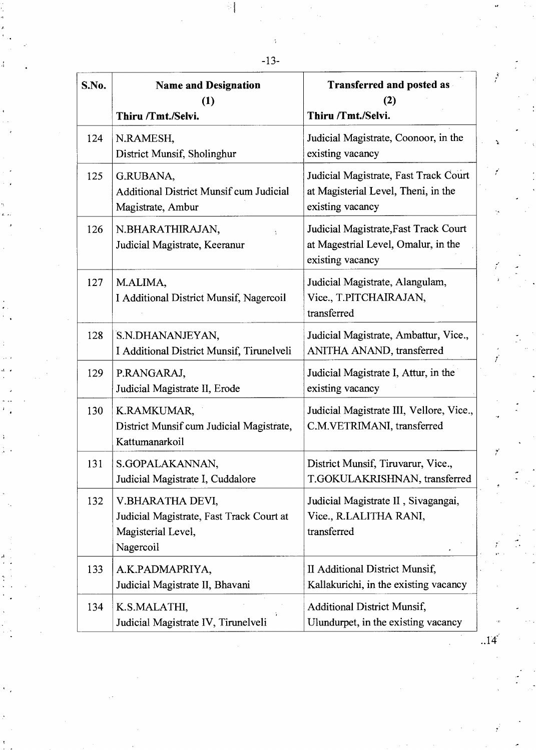| S.No. | <b>Name and Designation</b><br>(1)<br>Thiru /Tmt./Selvi.                                        | <b>Transferred and posted as</b><br>(2)<br>Thiru /Tmt./Selvi.                                    |
|-------|-------------------------------------------------------------------------------------------------|--------------------------------------------------------------------------------------------------|
| 124   | N.RAMESH,<br>District Munsif, Sholinghur                                                        | Judicial Magistrate, Coonoor, in the<br>existing vacancy                                         |
| 125   | G.RUBANA,<br><b>Additional District Munsif cum Judicial</b><br>Magistrate, Ambur                | Judicial Magistrate, Fast Track Court<br>at Magisterial Level, Theni, in the<br>existing vacancy |
| 126   | N.BHARATHIRAJAN,<br>Judicial Magistrate, Keeranur                                               | Judicial Magistrate, Fast Track Court<br>at Magestrial Level, Omalur, in the<br>existing vacancy |
| 127   | M.ALIMA,<br>I Additional District Munsif, Nagercoil                                             | Judicial Magistrate, Alangulam,<br>Vice., T.PITCHAIRAJAN,<br>transferred                         |
| 128   | S.N.DHANANJEYAN,<br>I Additional District Munsif, Tirunelveli                                   | Judicial Magistrate, Ambattur, Vice.,<br>ANITHA ANAND, transferred                               |
| 129   | P.RANGARAJ,<br>Judicial Magistrate II, Erode                                                    | Judicial Magistrate I, Attur, in the<br>existing vacancy                                         |
| 130   | K.RAMKUMAR,<br>District Munsif cum Judicial Magistrate,<br>Kattumanarkoil                       | Judicial Magistrate III, Vellore, Vice.,<br>C.M.VETRIMANI, transferred                           |
| 131   | S.GOPALAKANNAN,<br>Judicial Magistrate I, Cuddalore                                             | District Munsif, Tiruvarur, Vice.,<br>T.GOKULAKRISHNAN, transferred                              |
| 132   | V.BHARATHA DEVI,<br>Judicial Magistrate, Fast Track Court at<br>Magisterial Level,<br>Nagercoil | Judicial Magistrate II, Sivagangai,<br>Vice., R.LALITHA RANI,<br>transferred                     |
| 133   | A.K.PADMAPRIYA,<br>Judicial Magistrate II, Bhavani                                              | II Additional District Munsif,<br>Kallakurichi, in the existing vacancy                          |
| 134   | K.S.MALATHI,<br>Judicial Magistrate IV, Tirunelveli                                             | <b>Additional District Munsif,</b><br>Ulundurpet, in the existing vacancy                        |

 $.14<sup>2</sup>$ 

 $\mathcal{I}$ 

t.

 $\frac{1}{2}$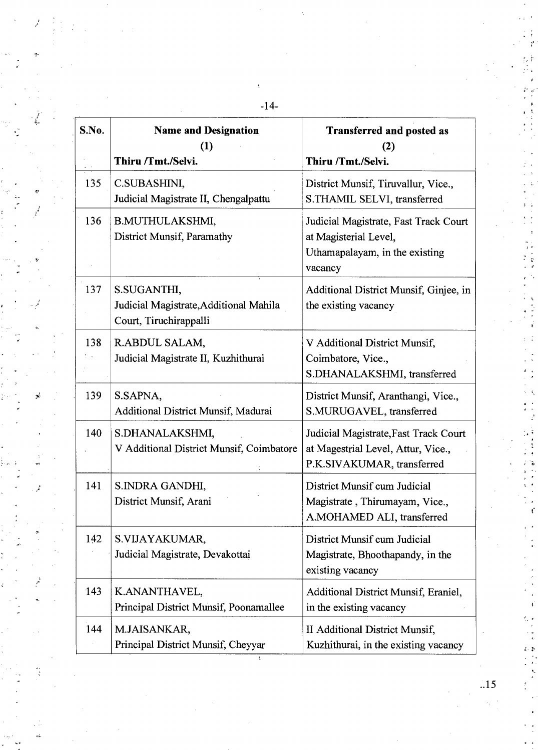| S.No. | <b>Name and Designation</b><br>(1)<br>Thiru /Tmt./Selvi.                        | <b>Transferred and posted as</b><br>(2)<br>Thiru /Tmt./Selvi.                                               |
|-------|---------------------------------------------------------------------------------|-------------------------------------------------------------------------------------------------------------|
| 135   | C.SUBASHINI,<br>Judicial Magistrate II, Chengalpattu                            | District Munsif, Tiruvallur, Vice.,<br>S.THAMIL SELVI, transferred                                          |
| 136   | B.MUTHULAKSHMI,<br>District Munsif, Paramathy                                   | Judicial Magistrate, Fast Track Court<br>at Magisterial Level,<br>Uthamapalayam, in the existing<br>vacancy |
| 137   | S.SUGANTHI,<br>Judicial Magistrate, Additional Mahila<br>Court, Tiruchirappalli | Additional District Munsif, Ginjee, in<br>the existing vacancy                                              |
| 138   | R.ABDUL SALAM,<br>Judicial Magistrate II, Kuzhithurai                           | V Additional District Munsif,<br>Coimbatore, Vice.,<br>S.DHANALAKSHMI, transferred                          |
| 139   | S.SAPNA,<br>Additional District Munsif, Madurai                                 | District Munsif, Aranthangi, Vice.,<br>S.MURUGAVEL, transferred                                             |
| 140   | S.DHANALAKSHMI,<br>V Additional District Munsif, Coimbatore                     | Judicial Magistrate, Fast Track Court<br>at Magestrial Level, Attur, Vice.,<br>P.K.SIVAKUMAR, transferred   |
| 141   | S.INDRA GANDHI,<br>District Munsif, Arani                                       | District Munsif cum Judicial<br>Magistrate, Thirumayam, Vice.,<br>A.MOHAMED ALI, transferred                |
| 142   | S.VIJAYAKUMAR,<br>Judicial Magistrate, Devakottai                               | District Munsif cum Judicial<br>Magistrate, Bhoothapandy, in the<br>existing vacancy                        |
| 143   | K.ANANTHAVEL,<br>Principal District Munsif, Poonamallee                         | Additional District Munsif, Eraniel,<br>in the existing vacancy                                             |
| 144   | M.JAISANKAR,<br>Principal District Munsif, Cheyyar                              | II Additional District Munsif,<br>Kuzhithurai, in the existing vacancy                                      |

J.

 $\ddot{\cdot}$ 

**-14-** 

ţ

..15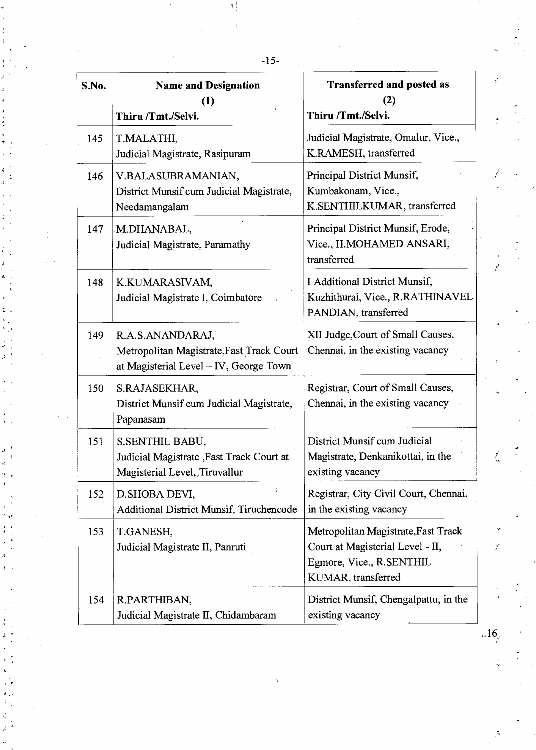| S.No. | <b>Name and Designation</b><br>(1)<br>Thiru /Tmt./Selvi.                                                | <b>Transferred and posted as</b><br>(2)<br>Thiru /Tmt./Selvi.                                                             |
|-------|---------------------------------------------------------------------------------------------------------|---------------------------------------------------------------------------------------------------------------------------|
| 145   | T.MALATHI,<br>Judicial Magistrate, Rasipuram                                                            | Judicial Magistrate, Omalur, Vice.,<br>K.RAMESH, transferred                                                              |
| 146   | V.BALASUBRAMANIAN,<br>District Munsif cum Judicial Magistrate,<br>Needamangalam                         | Principal District Munsif,<br>Kumbakonam, Vice.,<br>K.SENTHILKUMAR, transferred                                           |
| 147   | M.DHANABAL,<br>Judicial Magistrate, Paramathy                                                           | Principal District Munsif, Erode,<br>Vice., H.MOHAMED ANSARI,<br>transferred                                              |
| 148   | K.KUMARASIVAM,<br>Judicial Magistrate I, Coimbatore                                                     | I Additional District Munsif,<br>Kuzhithurai, Vice., R.RATHINAVEL<br>PANDIAN, transferred                                 |
| 149   | R.A.S.ANANDARAJ,<br>Metropolitan Magistrate, Fast Track Court<br>at Magisterial Level - IV, George Town | XII Judge, Court of Small Causes,<br>Chennai, in the existing vacancy                                                     |
| 150   | S.RAJASEKHAR,<br>District Munsif cum Judicial Magistrate,<br>Papanasam                                  | Registrar, Court of Small Causes,<br>Chennai, in the existing vacancy                                                     |
| 151   | S.SENTHIL BABU,<br>Judicial Magistrate, Fast Track Court at<br>Magisterial Level, Tiruvallur            | District Munsif cum Judicial<br>Magistrate, Denkanikottai, in the<br>existing vacancy                                     |
| 152   | ÷<br>D. SHOBA DEVI,<br>Additional District Munsif, Tiruchencode                                         | Registrar, City Civil Court, Chennai,<br>in the existing vacancy                                                          |
| 153   | T.GANESH,<br>Judicial Magistrate II, Panruti                                                            | Metropolitan Magistrate, Fast Track<br>Court at Magisterial Level - II,<br>Egmore, Vice., R.SENTHIL<br>KUMAR, transferred |
| 154   | R.PARTHIBAN,<br>Judicial Magistrate II, Chidambaram                                                     | District Munsif, Chengalpattu, in the<br>existing vacancy                                                                 |

 $.16$ 

 $\ddot{\tilde{c}}$ 

Ï

-15-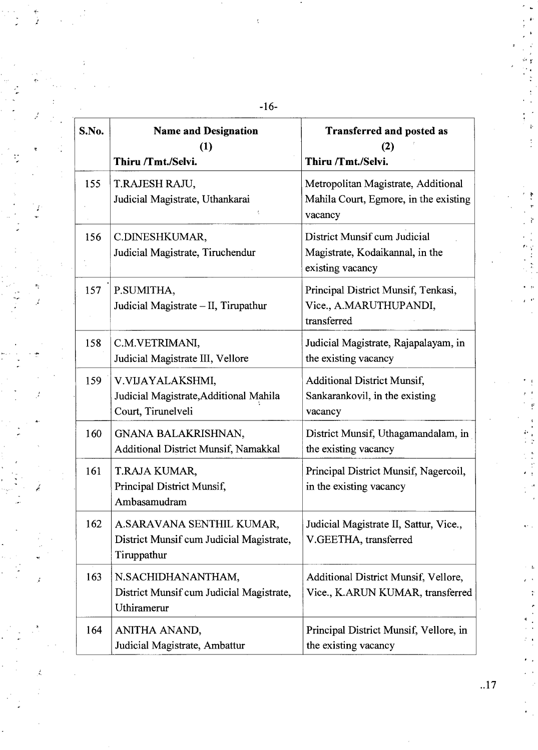| S.No. | <b>Name and Designation</b><br>(1)<br>Thiru /Tmt./Selvi.                             | <b>Transferred and posted as</b><br>(2)<br>Thiru /Tmt./Selvi.                           |
|-------|--------------------------------------------------------------------------------------|-----------------------------------------------------------------------------------------|
| 155   | T.RAJESH RAJU,<br>Judicial Magistrate, Uthankarai                                    | Metropolitan Magistrate, Additional<br>Mahila Court, Egmore, in the existing<br>vacancy |
| 156   | C.DINESHKUMAR,<br>Judicial Magistrate, Tiruchendur                                   | District Munsif cum Judicial<br>Magistrate, Kodaikannal, in the<br>existing vacancy     |
| 157   | P.SUMITHA,<br>Judicial Magistrate - II, Tirupathur                                   | Principal District Munsif, Tenkasi,<br>Vice., A.MARUTHUPANDI,<br>transferred            |
| 158   | C.M.VETRIMANI,<br>Judicial Magistrate III, Vellore                                   | Judicial Magistrate, Rajapalayam, in<br>the existing vacancy                            |
| 159   | V.VIJAYALAKSHMI,<br>Judicial Magistrate, Additional Mahila<br>Court, Tirunelveli     | <b>Additional District Munsif,</b><br>Sankarankovil, in the existing<br>vacancy         |
| 160   | GNANA BALAKRISHNAN,<br>Additional District Munsif, Namakkal                          | District Munsif, Uthagamandalam, in<br>the existing vacancy                             |
| 161   | T.RAJA KUMAR,<br>Principal District Munsif,<br>Ambasamudram                          | Principal District Munsif, Nagercoil,<br>in the existing vacancy                        |
| 162   | A.SARAVANA SENTHIL KUMAR,<br>District Munsif cum Judicial Magistrate,<br>Tiruppathur | Judicial Magistrate II, Sattur, Vice.,<br>V.GEETHA, transferred                         |
| 163   | N.SACHIDHANANTHAM,<br>District Munsif cum Judicial Magistrate,<br>Uthiramerur        | Additional District Munsif, Vellore,<br>Vice., K.ARUN KUMAR, transferred                |
| 164   | ANITHA ANAND,<br>Judicial Magistrate, Ambattur                                       | Principal District Munsif, Vellore, in<br>the existing vacancy                          |

**-16-** 

ķ

Ż

 $\mathcal{L}$ 

×,  $\overline{\mathcal{L}}$ 

Á

..17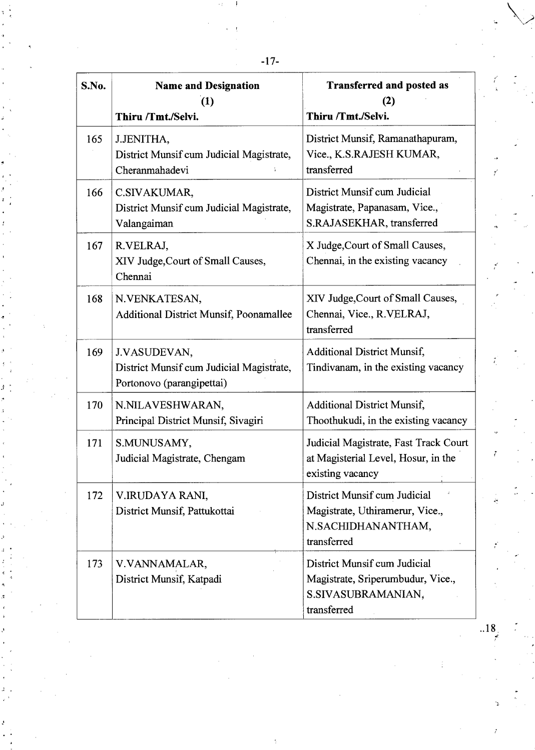-17-

| S.No. | <b>Name and Designation</b><br>(1)<br>Thiru /Tmt./Selvi.                              | <b>Transferred and posted as</b><br>(2)<br>Thiru /Tmt./Selvi.                                          |
|-------|---------------------------------------------------------------------------------------|--------------------------------------------------------------------------------------------------------|
| 165   | J.JENITHA,<br>District Munsif cum Judicial Magistrate,<br>Cheranmahadevi              | District Munsif, Ramanathapuram,<br>Vice., K.S.RAJESH KUMAR,<br>transferred                            |
| 166   | C.SIVAKUMAR,<br>District Munsif cum Judicial Magistrate,<br>Valangaiman               | District Munsif cum Judicial<br>Magistrate, Papanasam, Vice.,<br>S.RAJASEKHAR, transferred             |
| 167   | R.VELRAJ,<br>XIV Judge, Court of Small Causes,<br>Chennai                             | X Judge, Court of Small Causes,<br>Chennai, in the existing vacancy                                    |
| 168   | N.VENKATESAN,<br><b>Additional District Munsif, Poonamallee</b>                       | XIV Judge, Court of Small Causes,<br>Chennai, Vice., R.VELRAJ,<br>transferred                          |
| 169   | J.VASUDEVAN,<br>District Munsif cum Judicial Magistrate,<br>Portonovo (parangipettai) | <b>Additional District Munsif,</b><br>Tindivanam, in the existing vacancy                              |
| 170   | N.NILAVESHWARAN,<br>Principal District Munsif, Sivagiri                               | <b>Additional District Munsif,</b><br>Thoothukudi, in the existing vacancy                             |
| 171   | S.MUNUSAMY,<br>Judicial Magistrate, Chengam                                           | Judicial Magistrate, Fast Track Court<br>at Magisterial Level, Hosur, in the<br>existing vacancy       |
| 172   | V.IRUDAYA RANI,<br>District Munsif, Pattukottai                                       | District Munsif cum Judicial<br>Magistrate, Uthiramerur, Vice.,<br>N.SACHIDHANANTHAM,<br>transferred   |
| 173   | V.VANNAMALAR,<br>District Munsif, Katpadi                                             | District Munsif cum Judicial<br>Magistrate, Sriperumbudur, Vice.,<br>S.SIVASUBRAMANIAN,<br>transferred |

..18

Ý